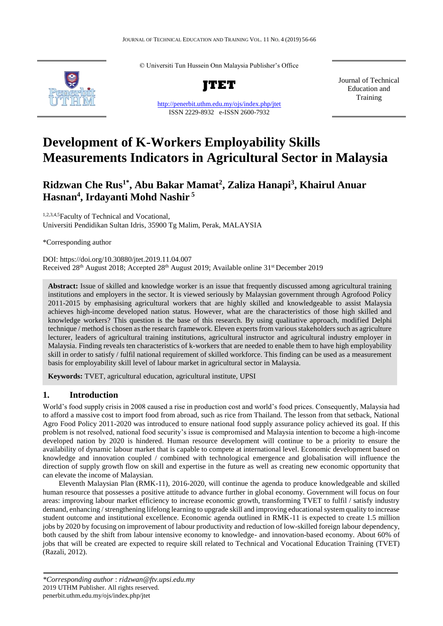© Universiti Tun Hussein Onn Malaysia Publisher's Office



<http://penerbit.uthm.edu.my/ojs/index.php/jtet> ISSN 2229-8932 e-ISSN 2600-7932

Journal of Technical Education and Training

# **Development of K-Workers Employability Skills Measurements Indicators in Agricultural Sector in Malaysia**

## **Ridzwan Che Rus1\* , Abu Bakar Mamat<sup>2</sup> , Zaliza Hanapi<sup>3</sup> , Khairul Anuar Hasnan<sup>4</sup> , Irdayanti Mohd Nashir <sup>5</sup>**

1,2,3,4,5Faculty of Technical and Vocational, Universiti Pendidikan Sultan Idris, 35900 Tg Malim, Perak, MALAYSIA

\*Corresponding author

DOI: https://doi.org/10.30880/jtet.2019.11.04.007 Received 28<sup>th</sup> August 2018; Accepted 28<sup>th</sup> August 2019; Available online 31<sup>st</sup> December 2019

**Abstract:** Issue of skilled and knowledge worker is an issue that frequently discussed among agricultural training institutions and employers in the sector. It is viewed seriously by Malaysian government through Agrofood Policy 2011-2015 by emphasising agricultural workers that are highly skilled and knowledgeable to assist Malaysia achieves high-income developed nation status. However, what are the characteristics of those high skilled and knowledge workers? This question is the base of this research. By using qualitative approach, modified Delphi technique / method is chosen as the research framework. Eleven experts from various stakeholders such as agriculture lecturer, leaders of agricultural training institutions, agricultural instructor and agricultural industry employer in Malaysia. Finding reveals ten characteristics of k-workers that are needed to enable them to have high employability skill in order to satisfy / fulfil national requirement of skilled workforce. This finding can be used as a measurement basis for employability skill level of labour market in agricultural sector in Malaysia.

**Keywords:** TVET, agricultural education, agricultural institute, UPSI

## **1. Introduction**

World's food supply crisis in 2008 caused a rise in production cost and world's food prices. Consequently, Malaysia had to afford a massive cost to import food from abroad, such as rice from Thailand. The lesson from that setback, National Agro Food Policy 2011-2020 was introduced to ensure national food supply assurance policy achieved its goal. If this problem is not resolved, national food security's issue is compromised and Malaysia intention to become a high-income developed nation by 2020 is hindered. Human resource development will continue to be a priority to ensure the availability of dynamic labour market that is capable to compete at international level. Economic development based on knowledge and innovation coupled / combined with technological emergence and globalisation will influence the direction of supply growth flow on skill and expertise in the future as well as creating new economic opportunity that can elevate the income of Malaysian.

Eleventh Malaysian Plan (RMK-11), 2016-2020, will continue the agenda to produce knowledgeable and skilled human resource that possesses a positive attitude to advance further in global economy. Government will focus on four areas: improving labour market efficiency to increase economic growth, transforming TVET to fulfil / satisfy industry demand, enhancing / strengthening lifelong learning to upgrade skill and improving educational system quality to increase student outcome and institutional excellence. Economic agenda outlined in RMK-11 is expected to create 1.5 million jobs by 2020 by focusing on improvement of labour productivity and reduction of low-skilled foreign labour dependency, both caused by the shift from labour intensive economy to knowledge- and innovation-based economy. About 60% of jobs that will be created are expected to require skill related to Technical and Vocational Education Training (TVET) (Razali, 2012).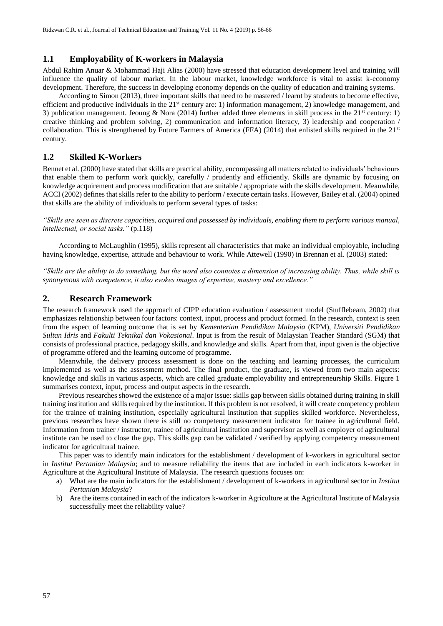## **1.1 Employability of K-workers in Malaysia**

Abdul Rahim Anuar & Mohammad Haji Alias (2000) have stressed that education development level and training will influence the quality of labour market. In the labour market, knowledge workforce is vital to assist k-economy development. Therefore, the success in developing economy depends on the quality of education and training systems.

According to Simon (2013), three important skills that need to be mastered / learnt by students to become effective, efficient and productive individuals in the  $21<sup>st</sup>$  century are: 1) information management, 2) knowledge management, and 3) publication management. Jeoung & Nora (2014) further added three elements in skill process in the  $21<sup>st</sup>$  century: 1) creative thinking and problem solving, 2) communication and information literacy, 3) leadership and cooperation / collaboration. This is strengthened by Future Farmers of America (FFA) (2014) that enlisted skills required in the  $21<sup>st</sup>$ century.

#### **1.2 Skilled K-Workers**

Bennet et al. (2000) have stated that skills are practical ability, encompassing all matters related to individuals' behaviours that enable them to perform work quickly, carefully / prudently and efficiently. Skills are dynamic by focusing on knowledge acquirement and process modification that are suitable / appropriate with the skills development. Meanwhile, ACCI (2002) defines that skills refer to the ability to perform / execute certain tasks. However, Bailey et al. (2004) opined that skills are the ability of individuals to perform several types of tasks:

*"Skills are seen as discrete capacities, acquired and possessed by individuals, enabling them to perform various manual, intellectual, or social tasks."* (p.118)

According to McLaughlin (1995), skills represent all characteristics that make an individual employable, including having knowledge, expertise, attitude and behaviour to work. While Attewell (1990) in Brennan et al. (2003) stated:

*"Skills are the ability to do something, but the word also connotes a dimension of increasing ability. Thus, while skill is synonymous with competence, it also evokes images of expertise, mastery and excellence."*

#### **2. Research Framework**

The research framework used the approach of CIPP education evaluation / assessment model (Stufflebeam, 2002) that emphasizes relationship between four factors: context, input, process and product formed. In the research, context is seen from the aspect of learning outcome that is set by *Kementerian Pendidikan Malaysia* (KPM), *Universiti Pendidikan Sultan Idris* and *Fakulti Teknikal dan Vokasional*. Input is from the result of Malaysian Teacher Standard (SGM) that consists of professional practice, pedagogy skills, and knowledge and skills. Apart from that, input given is the objective of programme offered and the learning outcome of programme.

Meanwhile, the delivery process assessment is done on the teaching and learning processes, the curriculum implemented as well as the assessment method. The final product, the graduate, is viewed from two main aspects: knowledge and skills in various aspects, which are called graduate employability and entrepreneurship Skills. Figure 1 summarises context, input, process and output aspects in the research.

Previous researches showed the existence of a major issue: skills gap between skills obtained during training in skill training institution and skills required by the institution. If this problem is not resolved, it will create competency problem for the trainee of training institution, especially agricultural institution that supplies skilled workforce. Nevertheless, previous researches have shown there is still no competency measurement indicator for trainee in agricultural field. Information from trainer / instructor, trainee of agricultural institution and supervisor as well as employer of agricultural institute can be used to close the gap. This skills gap can be validated / verified by applying competency measurement indicator for agricultural trainee.

This paper was to identify main indicators for the establishment / development of k-workers in agricultural sector in *Institut Pertanian Malaysia*; and to measure reliability the items that are included in each indicators k-worker in Agriculture at the Agricultural Institute of Malaysia. The research questions focuses on:

- a) What are the main indicators for the establishment / development of k-workers in agricultural sector in *Institut Pertanian Malaysia*?
- b) Are the items contained in each of the indicators k-worker in Agriculture at the Agricultural Institute of Malaysia successfully meet the reliability value?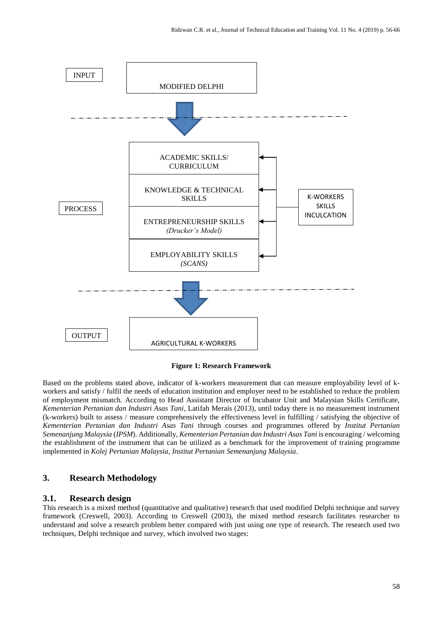

**Figure 1: Research Framework**

Based on the problems stated above, indicator of k-workers measurement that can measure employability level of kworkers and satisfy / fulfil the needs of education institution and employer need to be established to reduce the problem of employment mismatch. According to Head Assistant Director of Incubator Unit and Malaysian Skills Certificate, *Kementerian Pertanian dan Industri Asas Tani*, Latifah Merais (2013), until today there is no measurement instrument (k-workers) built to assess / measure comprehensively the effectiveness level in fulfilling / satisfying the objective of *Kementerian Pertanian dan Industri Asas Tani* through courses and programmes offered by *Institut Pertanian Semenanjung Malaysia* (*IPSM*). Additionally, *Kementerian Pertanian dan Industri Asas Tani* is encouraging / welcoming the establishment of the instrument that can be utilized as a benchmark for the improvement of training programme implemented in *Kolej Pertanian Malaysia, Institut Pertanian Semenanjung Malaysia*.

## **3. Research Methodology**

#### **3.1. Research design**

This research is a mixed method (quantitative and qualitative) research that used modified Delphi technique and survey framework (Creswell, 2003). According to Creswell (2003), the mixed method research facilitates researcher to understand and solve a research problem better compared with just using one type of research. The research used two techniques, Delphi technique and survey, which involved two stages: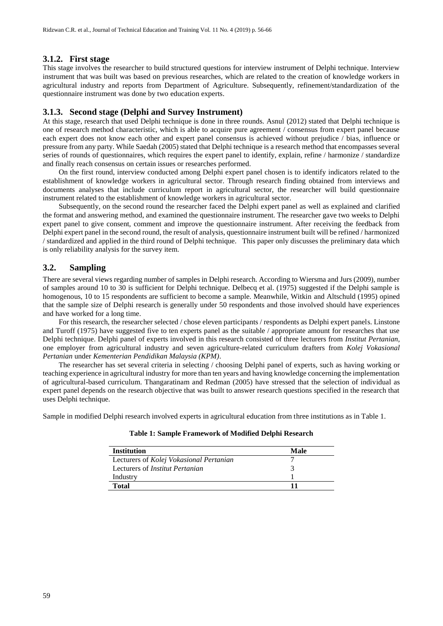#### **3.1.2. First stage**

This stage involves the researcher to build structured questions for interview instrument of Delphi technique. Interview instrument that was built was based on previous researches, which are related to the creation of knowledge workers in agricultural industry and reports from Department of Agriculture. Subsequently, refinement/standardization of the questionnaire instrument was done by two education experts.

#### **3.1.3. Second stage (Delphi and Survey Instrument)**

At this stage, research that used Delphi technique is done in three rounds. Asnul (2012) stated that Delphi technique is one of research method characteristic, which is able to acquire pure agreement / consensus from expert panel because each expert does not know each other and expert panel consensus is achieved without prejudice / bias, influence or pressure from any party. While Saedah (2005) stated that Delphi technique is a research method that encompasses several series of rounds of questionnaires, which requires the expert panel to identify, explain, refine / harmonize / standardize and finally reach consensus on certain issues or researches performed.

On the first round, interview conducted among Delphi expert panel chosen is to identify indicators related to the establishment of knowledge workers in agricultural sector. Through research finding obtained from interviews and documents analyses that include curriculum report in agricultural sector, the researcher will build questionnaire instrument related to the establishment of knowledge workers in agricultural sector.

Subsequently, on the second round the researcher faced the Delphi expert panel as well as explained and clarified the format and answering method, and examined the questionnaire instrument. The researcher gave two weeks to Delphi expert panel to give consent, comment and improve the questionnaire instrument. After receiving the feedback from Delphi expert panel in the second round, the result of analysis, questionnaire instrument built will be refined / harmonized / standardized and applied in the third round of Delphi technique. This paper only discusses the preliminary data which is only reliability analysis for the survey item.

## **3.2. Sampling**

There are several views regarding number of samples in Delphi research. According to Wiersma and Jurs (2009), number of samples around 10 to 30 is sufficient for Delphi technique. Delbecq et al. (1975) suggested if the Delphi sample is homogenous, 10 to 15 respondents are sufficient to become a sample. Meanwhile, Witkin and Altschuld (1995) opined that the sample size of Delphi research is generally under 50 respondents and those involved should have experiences and have worked for a long time.

For this research, the researcher selected / chose eleven participants / respondents as Delphi expert panels. Linstone and Turoff (1975) have suggested five to ten experts panel as the suitable / appropriate amount for researches that use Delphi technique. Delphi panel of experts involved in this research consisted of three lecturers from *Institut Pertanian*, one employer from agricultural industry and seven agriculture-related curriculum drafters from *Kolej Vokasional Pertanian* under *Kementerian Pendidikan Malaysia (KPM)*.

The researcher has set several criteria in selecting / choosing Delphi panel of experts, such as having working or teaching experience in agricultural industry for more than ten years and having knowledge concerning the implementation of agricultural-based curriculum. Thangaratinam and Redman (2005) have stressed that the selection of individual as expert panel depends on the research objective that was built to answer research questions specified in the research that uses Delphi technique.

Sample in modified Delphi research involved experts in agricultural education from three institutions as in Table 1.

| <b>Institution</b>                      | Male |
|-----------------------------------------|------|
| Lecturers of Kolej Vokasional Pertanian |      |
| Lecturers of <i>Institut Pertanian</i>  |      |
| Industry                                |      |
| Total                                   |      |

#### **Table 1: Sample Framework of Modified Delphi Research**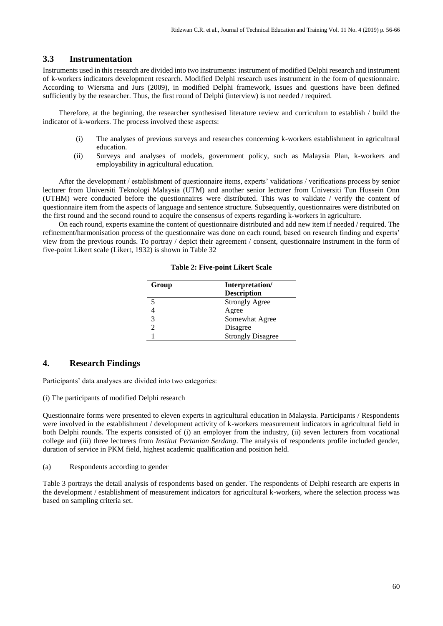#### **3.3 Instrumentation**

Instruments used in this research are divided into two instruments: instrument of modified Delphi research and instrument of k-workers indicators development research. Modified Delphi research uses instrument in the form of questionnaire. According to Wiersma and Jurs (2009), in modified Delphi framework, issues and questions have been defined sufficiently by the researcher. Thus, the first round of Delphi (interview) is not needed / required.

Therefore, at the beginning, the researcher synthesised literature review and curriculum to establish / build the indicator of k-workers. The process involved these aspects:

- (i) The analyses of previous surveys and researches concerning k-workers establishment in agricultural education.
- (ii) Surveys and analyses of models, government policy, such as Malaysia Plan, k-workers and employability in agricultural education.

After the development / establishment of questionnaire items, experts' validations / verifications process by senior lecturer from Universiti Teknologi Malaysia (UTM) and another senior lecturer from Universiti Tun Hussein Onn (UTHM) were conducted before the questionnaires were distributed. This was to validate / verify the content of questionnaire item from the aspects of language and sentence structure. Subsequently, questionnaires were distributed on the first round and the second round to acquire the consensus of experts regarding k-workers in agriculture.

On each round, experts examine the content of questionnaire distributed and add new item if needed / required. The refinement/harmonisation process of the questionnaire was done on each round, based on research finding and experts' view from the previous rounds. To portray / depict their agreement / consent, questionnaire instrument in the form of five-point Likert scale (Likert, 1932) is shown in Table 32

| Group | Interpretation/          |  |
|-------|--------------------------|--|
|       | <b>Description</b>       |  |
|       | <b>Strongly Agree</b>    |  |
|       | Agree                    |  |
| 3     | Somewhat Agree           |  |
|       | Disagree                 |  |
|       | <b>Strongly Disagree</b> |  |

**Table 2: Five-point Likert Scale**

## **4. Research Findings**

Participants' data analyses are divided into two categories:

(i) The participants of modified Delphi research

Questionnaire forms were presented to eleven experts in agricultural education in Malaysia. Participants / Respondents were involved in the establishment / development activity of k-workers measurement indicators in agricultural field in both Delphi rounds. The experts consisted of (i) an employer from the industry, (ii) seven lecturers from vocational college and (iii) three lecturers from *Institut Pertanian Serdang*. The analysis of respondents profile included gender, duration of service in PKM field, highest academic qualification and position held.

(a) Respondents according to gender

Table 3 portrays the detail analysis of respondents based on gender. The respondents of Delphi research are experts in the development / establishment of measurement indicators for agricultural k-workers, where the selection process was based on sampling criteria set.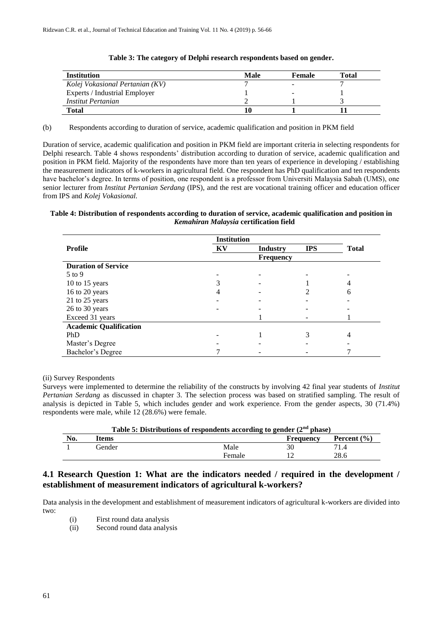| <b>Institution</b>              | Male | <b>Female</b> | Total |
|---------------------------------|------|---------------|-------|
| Kolej Vokasional Pertanian (KV) |      | -             |       |
| Experts / Industrial Employer   |      | -             |       |
| Institut Pertanian              |      |               |       |
| Total                           | 10   |               |       |

#### **Table 3: The category of Delphi research respondents based on gender.**

(b) Respondents according to duration of service, academic qualification and position in PKM field

Duration of service, academic qualification and position in PKM field are important criteria in selecting respondents for Delphi research. Table 4 shows respondents' distribution according to duration of service, academic qualification and position in PKM field. Majority of the respondents have more than ten years of experience in developing / establishing the measurement indicators of k-workers in agricultural field. One respondent has PhD qualification and ten respondents have bachelor's degree. In terms of position, one respondent is a professor from Universiti Malaysia Sabah (UMS), one senior lecturer from *Institut Pertanian Serdang* (IPS), and the rest are vocational training officer and education officer from IPS and *Kolej Vokasional.*

#### **Table 4: Distribution of respondents according to duration of service, academic qualification and position in**  *Kemahiran Malaysia* **certification field**

|                               | <b>Institution</b> |                  |            |              |
|-------------------------------|--------------------|------------------|------------|--------------|
| Profile                       | KV                 | <b>Industry</b>  | <b>IPS</b> | <b>Total</b> |
|                               |                    | <b>Frequency</b> |            |              |
| <b>Duration of Service</b>    |                    |                  |            |              |
| 5 to 9                        |                    |                  |            |              |
| 10 to 15 years                |                    |                  |            |              |
| 16 to 20 years                |                    |                  |            | 6            |
| 21 to 25 years                |                    |                  |            |              |
| 26 to 30 years                |                    |                  |            |              |
| Exceed 31 years               |                    |                  |            |              |
| <b>Academic Qualification</b> |                    |                  |            |              |
| PhD                           |                    |                  |            | 4            |
| Master's Degree               |                    |                  |            |              |
| Bachelor's Degree             |                    |                  |            |              |

(ii) Survey Respondents

Surveys were implemented to determine the reliability of the constructs by involving 42 final year students of *Institut Pertanian Serdang* as discussed in chapter 3. The selection process was based on stratified sampling. The result of analysis is depicted in Table 5, which includes gender and work experience. From the gender aspects, 30 (71.4%) respondents were male, while 12 (28.6%) were female.

| Table 5: Distributions of respondents according to gender $(2nd phase)$ |        |        |           |                 |
|-------------------------------------------------------------------------|--------|--------|-----------|-----------------|
| No.                                                                     | Items  |        | Frequency | Percent $(\% )$ |
|                                                                         | Gender | Male   |           | 71.4            |
|                                                                         |        | Female |           | 28.6            |

## **4.1 Research Question 1: What are the indicators needed / required in the development / establishment of measurement indicators of agricultural k-workers?**

Data analysis in the development and establishment of measurement indicators of agricultural k-workers are divided into two:

- (i) First round data analysis
- (ii) Second round data analysis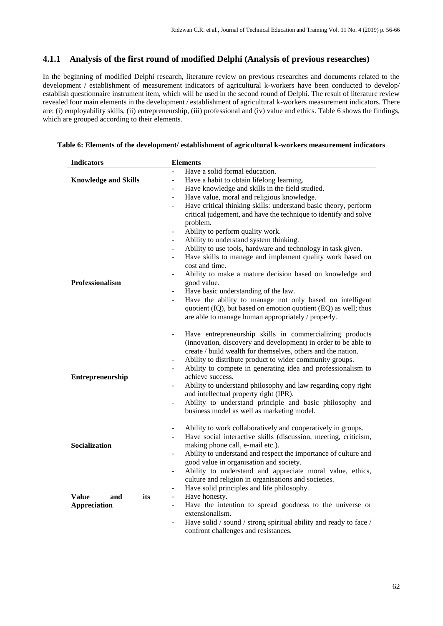## **4.1.1 Analysis of the first round of modified Delphi (Analysis of previous researches)**

In the beginning of modified Delphi research, literature review on previous researches and documents related to the development / establishment of measurement indicators of agricultural k-workers have been conducted to develop/ establish questionnaire instrument item, which will be used in the second round of Delphi. The result of literature review revealed four main elements in the development / establishment of agricultural k-workers measurement indicators. There are: (i) employability skills, (ii) entrepreneurship, (iii) professional and (iv) value and ethics. Table 6 shows the findings, which are grouped according to their elements.

#### **Table 6: Elements of the development/ establishment of agricultural k-workers measurement indicators**

| <b>Indicators</b>           |                                 | <b>Elements</b>                                                   |  |  |
|-----------------------------|---------------------------------|-------------------------------------------------------------------|--|--|
|                             | $\overline{a}$                  | Have a solid formal education.                                    |  |  |
| <b>Knowledge and Skills</b> | $\frac{1}{2}$                   | Have a habit to obtain lifelong learning.                         |  |  |
|                             | ÷,                              | Have knowledge and skills in the field studied.                   |  |  |
|                             | ÷,                              | Have value, moral and religious knowledge.                        |  |  |
|                             |                                 | Have critical thinking skills: understand basic theory, perform   |  |  |
|                             |                                 | critical judgement, and have the technique to identify and solve  |  |  |
|                             |                                 | problem.                                                          |  |  |
|                             | $\overline{\phantom{0}}$        | Ability to perform quality work.                                  |  |  |
|                             | $\overline{\phantom{0}}$        | Ability to understand system thinking.                            |  |  |
|                             | $\frac{1}{2}$                   | Ability to use tools, hardware and technology in task given.      |  |  |
|                             |                                 | Have skills to manage and implement quality work based on         |  |  |
|                             |                                 | cost and time.                                                    |  |  |
|                             | $\overline{\phantom{a}}$        | Ability to make a mature decision based on knowledge and          |  |  |
| Professionalism             |                                 | good value.                                                       |  |  |
|                             |                                 | Have basic understanding of the law.                              |  |  |
|                             | $\overline{\phantom{0}}$        | Have the ability to manage not only based on intelligent          |  |  |
|                             |                                 | quotient (IQ), but based on emotion quotient (EQ) as well; thus   |  |  |
|                             |                                 | are able to manage human appropriately / properly.                |  |  |
|                             |                                 |                                                                   |  |  |
|                             | $\overline{a}$                  | Have entrepreneurship skills in commercializing products          |  |  |
|                             |                                 | (innovation, discovery and development) in order to be able to    |  |  |
|                             |                                 | create / build wealth for themselves, others and the nation.      |  |  |
|                             | $\overline{\phantom{0}}$        | Ability to distribute product to wider community groups.          |  |  |
|                             |                                 | Ability to compete in generating idea and professionalism to      |  |  |
| Entrepreneurship            |                                 | achieve success.                                                  |  |  |
|                             |                                 | Ability to understand philosophy and law regarding copy right     |  |  |
|                             |                                 | and intellectual property right (IPR).                            |  |  |
|                             | $\frac{1}{2}$                   | Ability to understand principle and basic philosophy and          |  |  |
|                             |                                 | business model as well as marketing model.                        |  |  |
|                             |                                 |                                                                   |  |  |
|                             | $\overline{\phantom{a}}$        | Ability to work collaboratively and cooperatively in groups.      |  |  |
|                             | $\overline{a}$                  | Have social interactive skills (discussion, meeting, criticism,   |  |  |
| Socialization               |                                 | making phone call, e-mail etc.).                                  |  |  |
|                             | $\frac{1}{2}$                   | Ability to understand and respect the importance of culture and   |  |  |
|                             |                                 | good value in organisation and society.                           |  |  |
|                             |                                 | Ability to understand and appreciate moral value, ethics,         |  |  |
|                             |                                 | culture and religion in organisations and societies.              |  |  |
|                             | $\qquad \qquad \blacksquare$    | Have solid principles and life philosophy.                        |  |  |
| Value<br>and                | its<br>$\overline{\phantom{0}}$ | Have honesty.                                                     |  |  |
| <b>Appreciation</b>         | $\overline{a}$                  | Have the intention to spread goodness to the universe or          |  |  |
|                             |                                 | extensionalism.                                                   |  |  |
|                             |                                 | Have solid / sound / strong spiritual ability and ready to face / |  |  |
|                             |                                 | confront challenges and resistances.                              |  |  |
|                             |                                 |                                                                   |  |  |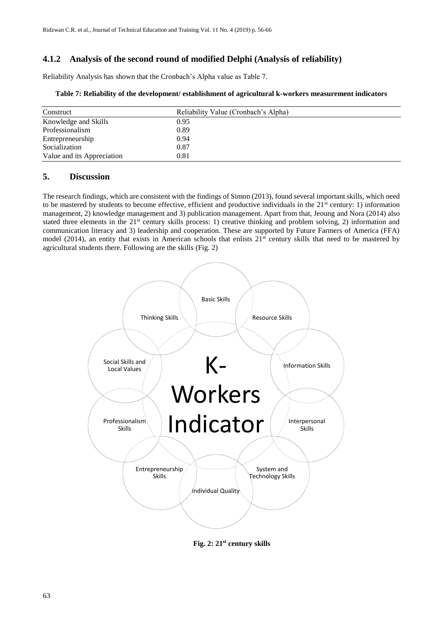## **4.1.2 Analysis of the second round of modified Delphi (Analysis of reliability)**

Reliability Analysis has shown that the Cronbach's Alpha value as Table 7.

| Construct                  | Reliability Value (Cronbach's Alpha) |  |
|----------------------------|--------------------------------------|--|
| Knowledge and Skills       | 0.95                                 |  |
| Professionalism            | 0.89                                 |  |
| Entrepreneurship           | 0.94                                 |  |
| Socialization              | 0.87                                 |  |
| Value and its Appreciation | 0.81                                 |  |

#### **Table 7: Reliability of the development/ establishment of agricultural k-workers measurement indicators**

## **5. Discussion**

The research findings, which are consistent with the findings of Simon (2013), found several important skills, which need to be mastered by students to become effective, efficient and productive individuals in the 21<sup>st</sup> century: 1) information management, 2) knowledge management and 3) publication management. Apart from that, Jeoung and Nora (2014) also stated three elements in the  $21<sup>st</sup>$  century skills process: 1) creative thinking and problem solving, 2) information and communication literacy and 3) leadership and cooperation. These are supported by Future Farmers of America (FFA) model (2014), an entity that exists in American schools that enlists  $21^{st}$  century skills that need to be mastered by agricultural students there. Following are the skills (Fig. 2)



**Fig. 2: 21st century skills**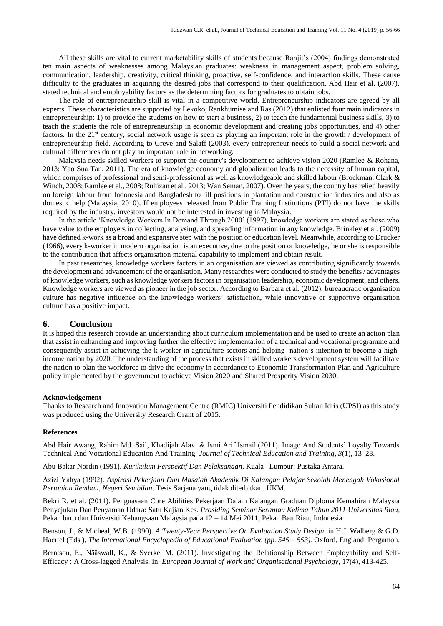All these skills are vital to current marketability skills of students because Ranjit's (2004) findings demonstrated ten main aspects of weaknesses among Malaysian graduates: weakness in management aspect, problem solving, communication, leadership, creativity, critical thinking, proactive, self-confidence, and interaction skills. These cause difficulty to the graduates in acquiring the desired jobs that correspond to their qualification. Abd Hair et al. (2007), stated technical and employability factors as the determining factors for graduates to obtain jobs.

The role of entrepreneurship skill is vital in a competitive world. Entrepreneurship indicators are agreed by all experts. These characteristics are supported by Lekoko, Rankhumise and Ras (2012) that enlisted four main indicators in entrepreneurship: 1) to provide the students on how to start a business, 2) to teach the fundamental business skills, 3) to teach the students the role of entrepreneurship in economic development and creating jobs opportunities, and 4) other factors. In the 21<sup>st</sup> century, social network usage is seen as playing an important role in the growth / development of entrepreneurship field. According to Greve and Salaff (2003), every entrepreneur needs to build a social network and cultural differences do not play an important role in networking.

Malaysia needs skilled workers to support the country's development to achieve vision 2020 (Ramlee & Rohana, 2013; Yao Sua Tan, 2011). The era of knowledge economy and globalization leads to the necessity of human capital, which comprises of professional and semi-professional as well as knowledgeable and skilled labour (Brockman, Clark & Winch, 2008; Ramlee et al., 2008; Ruhizan et al., 2013; Wan Seman, 2007). Over the years, the country has relied heavily on foreign labour from Indonesia and Bangladesh to fill positions in plantation and construction industries and also as domestic help (Malaysia, 2010). If employees released from Public Training Institutions (PTI) do not have the skills required by the industry, investors would not be interested in investing in Malaysia.

In the article 'Knowledge Workers In Demand Through 2000' (1997), knowledge workers are stated as those who have value to the employers in collecting, analysing, and spreading information in any knowledge. Brinkley et al. (2009) have defined k-work as a broad and expansive step with the position or education level. Meanwhile, according to Drucker (1966), every k-worker in modern organisation is an executive, due to the position or knowledge, he or she is responsible to the contribution that affects organisation material capability to implement and obtain result.

In past researches, knowledge workers factors in an organisation are viewed as contributing significantly towards the development and advancement of the organisation. Many researches were conducted to study the benefits / advantages of knowledge workers, such as knowledge workers factors in organisation leadership, economic development, and others. Knowledge workers are viewed as pioneer in the job sector. According to Barbara et al. (2012), bureaucratic organisation culture has negative influence on the knowledge workers' satisfaction, while innovative or supportive organisation culture has a positive impact.

#### **6. Conclusion**

It is hoped this research provide an understanding about curriculum implementation and be used to create an action plan that assist in enhancing and improving further the effective implementation of a technical and vocational programme and consequently assist in achieving the k-worker in agriculture sectors and helping nation's intention to become a highincome nation by 2020. The understanding of the process that exists in skilled workers development system will facilitate the nation to plan the workforce to drive the economy in accordance to Economic Transformation Plan and Agriculture policy implemented by the government to achieve Vision 2020 and Shared Prosperity Vision 2030.

#### **Acknowledgement**

Thanks to Research and Innovation Management Centre (RMIC) Universiti Pendidikan Sultan Idris (UPSI) as this study was produced using the University Research Grant of 2015.

#### **References**

Abd Hair Awang, Rahim Md. Sail, Khadijah Alavi & Ismi Arif Ismail.(2011). Image And Students' Loyalty Towards Technical And Vocational Education And Training. *Journal of Technical Education and Training*, *3*(1), 13–28.

Abu Bakar Nordin (1991). *Kurikulum Perspektif Dan Pelaksanaan*. Kuala Lumpur: Pustaka Antara.

Azizi Yahya (1992). *Aspirasi Pekerjaan Dan Masalah Akademik Di Kalangan Pelajar Sekolah Menengah Vokasional Pertanian Rembau, Negeri Sembilan*. Tesis Sarjana yang tidak diterbitkan. UKM.

Bekri R. et al. (2011). Penguasaan Core Abilities Pekerjaan Dalam Kalangan Graduan Diploma Kemahiran Malaysia Penyejukan Dan Penyaman Udara: Satu Kajian Kes*. Prosiding Seminar Serantau Kelima Tahun 2011 Universitas Riau,* Pekan baru dan Universiti Kebangsaan Malaysia pada 12 – 14 Mei 2011, Pekan Bau Riau, Indonesia.

Benson, J., & Micheal, W.B. (1990). *A Twenty-Year Perspective On Evaluation Study Design*. in H.J. Walberg & G.D. Haertel (Eds.), *The International Encyclopedia of Educational Evaluation (pp. 545 – 553).* Oxford, England: Pergamon.

Berntson, E., Nääswall, K., & Sverke, M. (2011). Investigating the Relationship Between Employability and Self-Efficacy : A Cross-lagged Analysis. In: *European Journal of Work and Organisational Psychology*, 17(4), 413-425.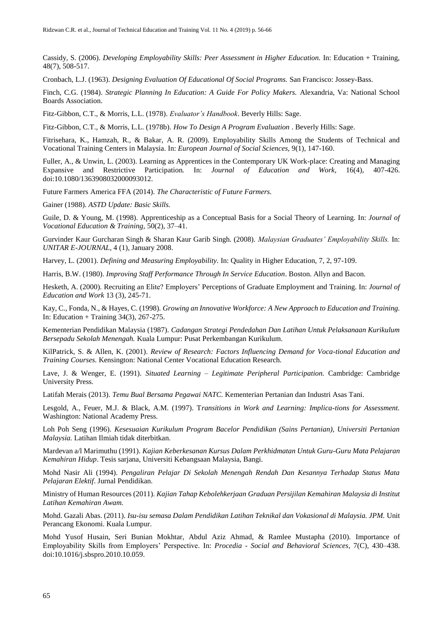Cassidy, S. (2006). *Developing Employability Skills: Peer Assessment in Higher Education.* In: Education + Training, 48(7), 508-517.

Cronbach, L.J. (1963). *Designing Evaluation Of Educational Of Social Programs.* San Francisco: Jossey-Bass.

Finch, C.G. (1984). *Strategic Planning In Education: A Guide For Policy Makers.* Alexandria, Va: National School Boards Association.

Fitz-Gibbon, C.T., & Morris, L.L. (1978). *Evaluator's Handbook*. Beverly Hills: Sage.

Fitz-Gibbon, C.T., & Morris, L.L. (1978b). *How To Design A Program Evaluation* . Beverly Hills: Sage.

Fitrisehara, K., Hamzah, R., & Bakar, A. R. (2009). Employability Skills Among the Students of Technical and Vocational Training Centers in Malaysia. In: *European Journal of Social Sciences,* 9(1), 147-160.

Fuller, A., & Unwin, L. (2003). Learning as Apprentices in the Contemporary UK Work-place: Creating and Managing Expansive and Restrictive Participation*.* In: *Journal of Education and Work,* 16(4), 407-426. doi:10.1080/1363908032000093012.

Future Farmers America FFA (2014). *The Characteristic of Future Farmers.*

Gainer (1988). *ASTD Update: Basic Skills.*

Guile, D. & Young, M. (1998). Apprenticeship as a Conceptual Basis for a Social Theory of Learning*.* In: *Journal of Vocational Education & Training,* 50(2), 37–41.

Gurvinder Kaur Gurcharan Singh & Sharan Kaur Garib Singh. (2008). *Malaysian Graduates' Employability Skills.* In: *UNITAR E-JOURNAL*, 4 (1), January 2008.

Harvey, L. (2001). *Defining and Measuring Employability.* In: Quality in Higher Education, 7, 2, 97-109.

Harris, B.W. (1980). *Improving Staff Performance Through In Service Education*. Boston. Allyn and Bacon.

Hesketh, A. (2000). Recruiting an Elite? Employers' Perceptions of Graduate Employment and Training. In: *Journal of Education and Work* 13 (3), 245-71.

Kay, C., Fonda, N., & Hayes, C. (1998). *Growing an Innovative Workforce: A New Approach to Education and Training.*  In: Education + Training 34(3), 267-275.

Kementerian Pendidikan Malaysia (1987). *Cadangan Strategi Pendedahan Dan Latihan Untuk Pelaksanaan Kurikulum Bersepadu Sekolah Menengah.* Kuala Lumpur: Pusat Perkembangan Kurikulum.

KilPatrick, S. & Allen, K. (2001). *Review of Research: Factors Influencing Demand for Voca-tional Education and Training Courses.* Kensington: National Center Vocational Education Research.

Lave, J. & Wenger, E. (1991). *Situated Learning – Legitimate Peripheral Participation.* Cambridge: Cambridge University Press.

Latifah Merais (2013). *Temu Bual Bersama Pegawai NATC*. Kementerian Pertanian dan Industri Asas Tani.

Lesgold, A., Feuer, M.J. & Black, A.M. (1997). T*ransitions in Work and Learning: Implica-tions for Assessment.* Washington: National Academy Press.

Loh Poh Seng (1996). *Kesesuaian Kurikulum Program Bacelor Pendidikan (Sains Pertanian), Universiti Pertanian Malaysia.* Latihan Ilmiah tidak diterbitkan.

Mardevan a/l Marimuthu (1991). *Kajian Keberkesanan Kursus Dalam Perkhidmatan Untuk Guru-Guru Mata Pelajaran Kemahiran Hidup*. Tesis sarjana, Universiti Kebangsaan Malaysia, Bangi.

Mohd Nasir Ali (1994). *Pengaliran Pelajar Di Sekolah Menengah Rendah Dan Kesannya Terhadap Status Mata Pelajaran Elektif*. Jurnal Pendidikan.

Ministry of Human Resources (2011). *Kajian Tahap Kebolehkerjaan Graduan Persijilan Kemahiran Malaysia di Institut Latihan Kemahiran Awam.*

Mohd. Gazali Abas. (2011). *Isu-isu semasa Dalam Pendidikan Latihan Teknikal dan Vokasional di Malaysia. JPM.* Unit Perancang Ekonomi. Kuala Lumpur.

Mohd Yusof Husain, Seri Bunian Mokhtar, Abdul Aziz Ahmad, & Ramlee Mustapha (2010). Importance of Employability Skills from Employers' Perspective*.* In: *Procedia - Social and Behavioral Sciences*, 7(C), 430–438. doi:10.1016/j.sbspro.2010.10.059.